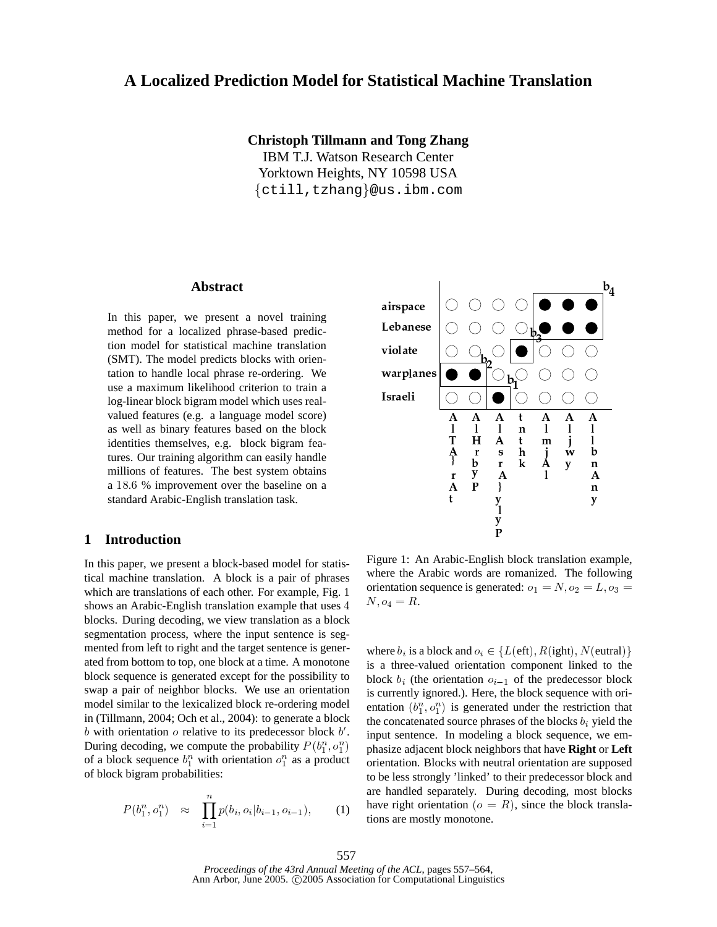# A Localized Prediction Model for Statistical Machine Translation

#### **Christoph Tillmann and Tong Zhang**

**IBM T.J. Watson Research Center** Yorktown Heights, NY 10598 USA {ctill, tzhang}@us.ibm.com

#### **Abstract**

In this paper, we present a novel training method for a localized phrase-based prediction model for statistical machine translation (SMT). The model predicts blocks with orientation to handle local phrase re-ordering. We use a maximum likelihood criterion to train a log-linear block bigram model which uses realvalued features (e.g. a language model score) as well as binary features based on the block identities themselves, e.g. block bigram features. Our training algorithm can easily handle millions of features. The best system obtains a 18.6 % improvement over the baseline on a standard Arabic-English translation task.

#### $\mathbf{1}$ **Introduction**

In this paper, we present a block-based model for statistical machine translation. A block is a pair of phrases which are translations of each other. For example, Fig. 1 shows an Arabic-English translation example that uses 4 blocks. During decoding, we view translation as a block segmentation process, where the input sentence is segmented from left to right and the target sentence is generated from bottom to top, one block at a time. A monotone block sequence is generated except for the possibility to swap a pair of neighbor blocks. We use an orientation model similar to the lexicalized block re-ordering model in (Tillmann, 2004; Och et al., 2004): to generate a block b with orientation  $\sigma$  relative to its predecessor block  $b'$ . During decoding, we compute the probability  $P(b_1^n, o_1^n)$ of a block sequence  $b_1^n$  with orientation  $o_1^n$  as a product of block bigram probabilities:

$$
P(b_1^n, o_1^n) \approx \prod_{i=1}^n p(b_i, o_i | b_{i-1}, o_{i-1}), \qquad (1)
$$



Figure 1: An Arabic-English block translation example, where the Arabic words are romanized. The following orientation sequence is generated:  $o_1 = N$ ,  $o_2 = L$ ,  $o_3 =$  $N, o_4 = R.$ 

where  $b_i$  is a block and  $o_i \in \{L(eft), R(ight), N(eutral)\}\$ is a three-valued orientation component linked to the block  $b_i$  (the orientation  $o_{i-1}$  of the predecessor block is currently ignored.). Here, the block sequence with orientation  $(b_1^n, o_1^n)$  is generated under the restriction that the concatenated source phrases of the blocks  $b_i$  yield the input sentence. In modeling a block sequence, we emphasize adjacent block neighbors that have Right or Left orientation. Blocks with neutral orientation are supposed to be less strongly 'linked' to their predecessor block and are handled separately. During decoding, most blocks have right orientation ( $o = R$ ), since the block translations are mostly monotone.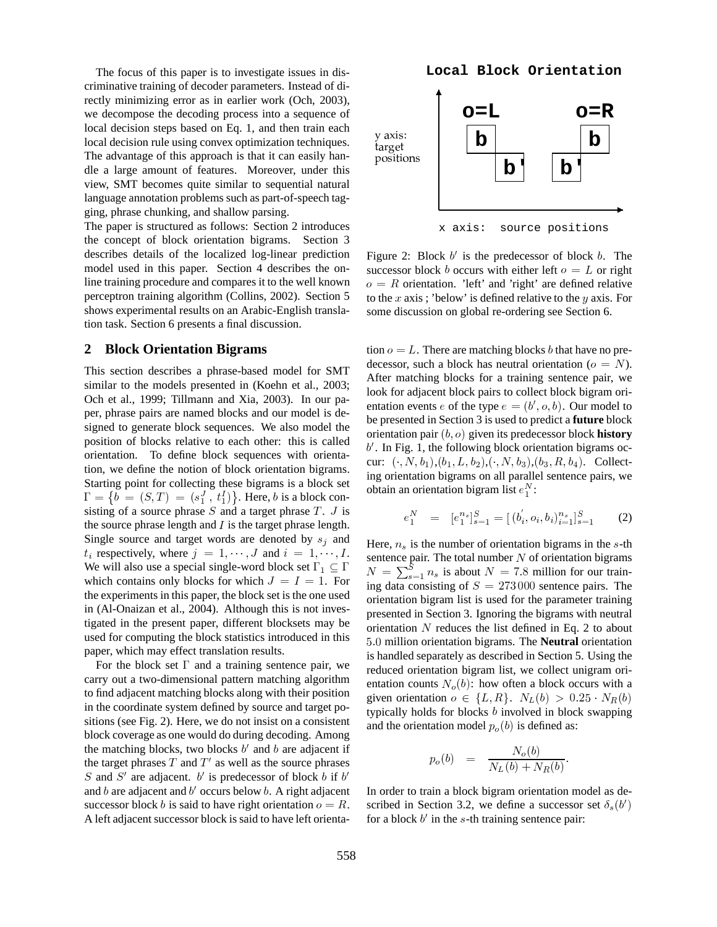The focus of this paper is to investigate issues in discriminative training of decoder parameters. Instead of directly minimizing error as in earlier work (Och, 2003), we decompose the decoding process into a sequence of local decision steps based on Eq. 1, and then train each local decision rule using convex optimization techniques. The advantage of this approach is that it can easily handle a large amount of features. Moreover, under this view, SMT becomes quite similar to sequential natural language annotation problems such as part-of-speech tagging, phrase chunking, and shallow parsing.

The paper is structured as follows: Section 2 introduces the concept of block orientation bigrams. Section 3 describes details of the localized log-linear prediction model used in this paper. Section 4 describes the online training procedure and compares it to the well known perceptron training algorithm (Collins, 2002). Section 5 shows experimental results on an Arabic-English translation task. Section 6 presents a final discussion.

#### **2 Block Orientation Bigrams**

This section describes a phrase-based model for SMT similar to the models presented in (Koehn et al., 2003; Och et al., 1999; Tillmann and Xia, 2003). In our paper, phrase pairs are named blocks and our model is designed to generate block sequences. We also model the position of blocks relative to each other: this is called orientation. To define block sequences with orientation, we define the notion of block orientation bigrams. Starting point for collecting these bigrams is a block set  $\Gamma = \{b = (S, T) = (s_1^J, t_1^I)\}\.$  Here, b is a block consisting of a source phrase  $S$  and a target phrase  $T$ .  $J$  is the source phrase length and  $I$  is the target phrase length. Single source and target words are denoted by  $s_i$  and  $t_i$  respectively, where  $j = 1, \dots, J$  and  $i = 1, \dots, I$ . We will also use a special single-word block set  $\Gamma_1 \subseteq \Gamma$ which contains only blocks for which  $J = I = 1$ . For  $\frac{1}{\ln \alpha}$ the experiments in this paper, the block set is the one used in (Al-Onaizan et al., 2004). Although this is not investigated in the present paper, different blocksets may be used for computing the block statistics introduced in this paper, which may effect translation results.

For the block set  $\Gamma$  and a training sentence pair, we carry out a two-dimensional pattern matching algorithm to find adjacent matching blocks along with their position in the coordinate system defined by source and target positions (see Fig. 2). Here, we do not insist on a consistent block coverage as one would do during decoding. Among the matching blocks, two blocks  $b'$  and  $b$  are adjacent if the target phrases  $T$  and  $T'$  as well as the source phrases S and S' are adjacent.  $b'$  is predecessor of block b if  $b'$ and  $b$  are adjacent and  $b'$  occurs below  $b$ . A right adjacent successor block *b* is said to have right orientation  $o = R$ . A left adjacent successor block is said to have left orienta-



x axis: source positions

Figure 2: Block  $b'$  is the predecessor of block  $b$ . The successor block *b* occurs with either left  $o = L$  or right  $\theta = R$  orientation. 'left' and 'right' are defined relative to the x axis; 'below' is defined relative to the  $y$  axis. For some discussion on global re-ordering see Section 6.

tion  $o = L$ . There are matching blocks *b* that have no predecessor, such a block has neutral orientation ( $o = N$ ). After matching blocks for a training sentence pair, we look for adjacent block pairs to collect block bigram orientation events *e* of the type  $e = (b', o, b)$ . Our model to be presented in Section 3 is used to predict a **future** block orientation pair  $(b, o)$  given its predecessor block **history**  $b'$ . In Fig. 1, the following block orientation bigrams occur:  $(\cdot, N, b_1), (b_1, L, b_2), (\cdot, N, b_3), (b_3, R, b_4)$ . Collecting orientation bigrams on all parallel sentence pairs, we obtain an orientation bigram list  $e_1^N$ :

$$
e_1^N = [e_1^{n_s}]_{s=1}^S = [(b_i^{'}, o_i, b_i)_{i=1}^{n_s}]_{s=1}^S \qquad (2)
$$

Here,  $n<sub>s</sub>$  is the number of orientation bigrams in the  $s$ -th sentence pair. The total number  $N$  of orientation bigrams  $N = \sum_{s=1}^{5} n_s$  is about  $N = 7.8$  million for our training data consisting of  $S = 273000$  sentence pairs. The orientation bigram list is used for the parameter training presented in Section 3. Ignoring the bigrams with neutral orientation  $N$  reduces the list defined in Eq. 2 to about 5.0 million orientation bigrams. The **Neutral** orientation is handled separately as described in Section 5. Using the reduced orientation bigram list, we collect unigram orientation counts  $N<sub>o</sub>(b)$ : how often a block occurs with a given orientation  $o \in \{L, R\}$ .  $N_L(b) > 0.25 \cdot N_R(b)$ typically holds for blocks  $b$  involved in block swapping and the orientation model  $p_o(b)$  is defined as:

$$
p_o(b) = \frac{N_o(b)}{N_L(b) + N_R(b)}.
$$

the contract of the contract of the contract of the contract of the contract of the contract of the contract of

In order to train a block bigram orientation model as described in Section 3.2, we define a successor set  $\delta_s(b')$ for a block  $b'$  in the s-th training sentence pair: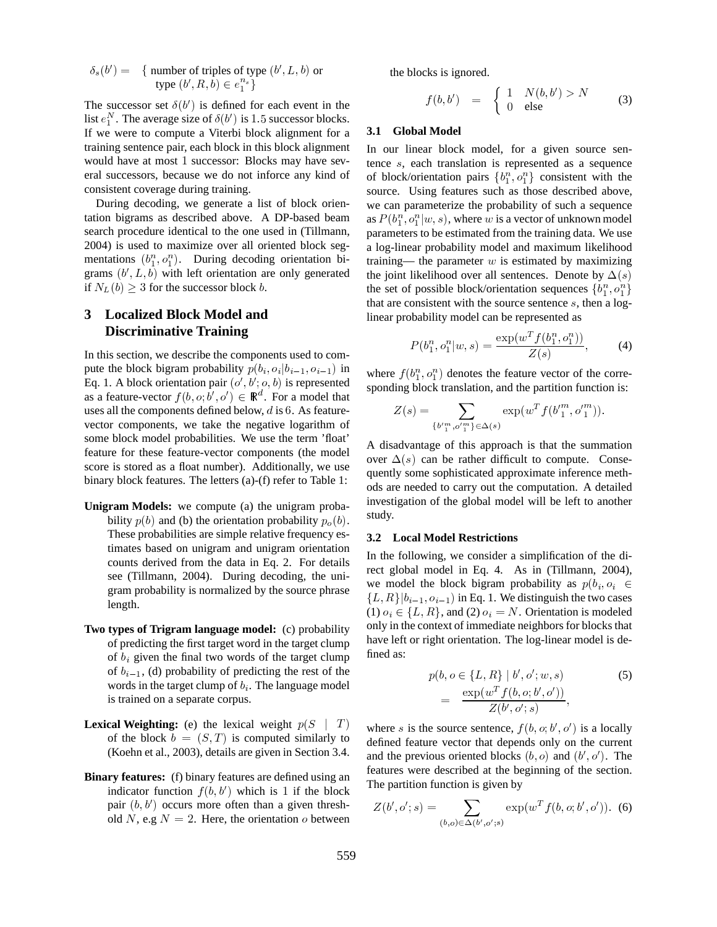$$
\delta_s(b') = \{ \text{ number of triples of type } (b', L, b) \text{ or } \\ \text{type } (b', R, b) \in e_1^{n_s} \}
$$

The successor set  $\delta(b')$  is defined for each event in the list  $e_1^N$ . The average size of  $\delta(b')$  is 1.5 successor blocks. If we were to compute a Viterbi block alignment for a training sentence pair, each block in this block alignment would have at most 1 successor: Blocks may have several successors, because we do not inforce any kind of consistent coverage during training.

During decoding, we generate a list of block orientation bigrams as described above. A DP-based beam search procedure identical to the one used in (Tillmann, 2004) is used to maximize over all oriented block segmentations  $(b_1^n, o_1^n)$ . During decoding orientation bigrams  $(b', L, b)$  with left orientation are only generated if  $N_L(b) \geq 3$  for the successor block b.

# **3 Localized Block Model and Discriminative Training**

In this section, we describe the components used to compute the block bigram probability  $p(b_i, o_i | b_{i-1}, o_{i-1})$  in  $W$ Eq. 1. A block orientation pair  $(o', b'; o, b)$  is represented as a feature-vector  $f(b, o; b', o') \in \mathbb{R}^d$ . For a model that uses all the components defined below,  $d$  is  $6$ . As featurevector components, we take the negative logarithm of some block model probabilities. We use the term 'float' feature for these feature-vector components (the model score is stored as a float number). Additionally, we use binary block features. The letters (a)-(f) refer to Table 1:

- **Unigram Models:** we compute (a) the unigram probability  $p(b)$  and (b) the orientation probability  $p_o(b)$ . Such These probabilities are simple relative frequency estimates based on unigram and unigram orientation counts derived from the data in Eq. 2. For details see (Tillmann, 2004). During decoding, the unigram probability is normalized by the source phrase length.
- **Two types of Trigram language model:** (c) probability of predicting the first target word in the target clump of  $b_i$  given the final two words of the target clump of  $b_{i-1}$ , (d) probability of predicting the rest of the words in the target clump of  $b_i$ . The language model is trained on a separate corpus.
- **Lexical Weighting:** (e) the lexical weight  $p(S | T)$  when of the block  $b = (S, T)$  is computed similarly to (Koehn et al., 2003), details are given in Section 3.4.
- **Binary features:** (f) binary features are defined using an indicator function  $f(b, b')$  which is 1 if the block pair  $(b, b')$  occurs more often than a given threshold N, e.g  $N = 2$ . Here, the orientation o between

the blocks is ignored.

$$
f(b, b') = \begin{cases} 1 & N(b, b') > N \\ 0 & \text{else} \end{cases}
$$
 (3)

#### **3.1 Global Model**

In our linear block model, for a given source sentence  $s$ , each translation is represented as a sequence of block/orientation pairs  $\{b_1^n, o_1^n\}$  consistent with the source. Using features such as those described above, we can parameterize the probability of such a sequence as  $P(b_1^n, o_1^n | w, s)$ , where w is a vector of unknown model parameters to be estimated from the training data. We use a log-linear probability model and maximum likelihood training— the parameter  $w$  is estimated by maximizing the joint likelihood over all sentences. Denote by  $\Delta(s)$ the set of possible block/orientation sequences  $\{b_1^n, o_1^n\}$ that are consistent with the source sentence  $s$ , then a loglinear probability model can be represented as

$$
P(b_1^n, o_1^n | w, s) = \frac{\exp(w^T f(b_1^n, o_1^n))}{Z(s)},
$$
 (4)

where  $f(b_1^n, o_1^n)$  denotes the feature vector of the corresponding block translation, and the partition function is:

$$
Z(s) = \sum_{\{b'\substack{n\\1}}^m, o'\substack{n\\1}}^m \in \Delta(s)} \exp(w^T f(b'\substack{n\\1}^m, o'\substack{n\\1}^m)).
$$

A disadvantage of this approach is that the summation over  $\Delta(s)$  can be rather difficult to compute. Consequently some sophisticated approximate inference methods are needed to carry out the computation. A detailed investigation of the global model will be left to another study.

#### **3.2 Local Model Restrictions**

In the following, we consider a simplification of the direct global model in Eq. 4. As in (Tillmann, 2004), we model the block bigram probability as  $p(b_i, o_i \in$  $\{L, R\}$  $\{b_{i-1}, o_{i-1}\}$  in Eq. 1. We distinguish the two cases (1)  $o_i \in \{L, R\}$ , and (2)  $o_i = N$ . Orientation is modeled only in the context of immediate neighbors for blocks that have left or right orientation. The log-linear model is defined as:

$$
p(b, o \in \{L, R\} \mid b', o'; w, s)
$$
  
= 
$$
\frac{\exp(w^T f(b, o; b', o'))}{Z(b', o'; s)},
$$
 (5)

where s is the source sentence,  $f(b, o; b', o')$  is a locally defined feature vector that depends only on the current and the previous oriented blocks  $(b, o)$  and  $(b', o')$ . The features were described at the beginning of the section. The partition function is given by

$$
Z(b', o'; s) = \sum_{(b, o) \in \Delta(b', o'; s)} \exp(w^T f(b, o; b', o')). \tag{6}
$$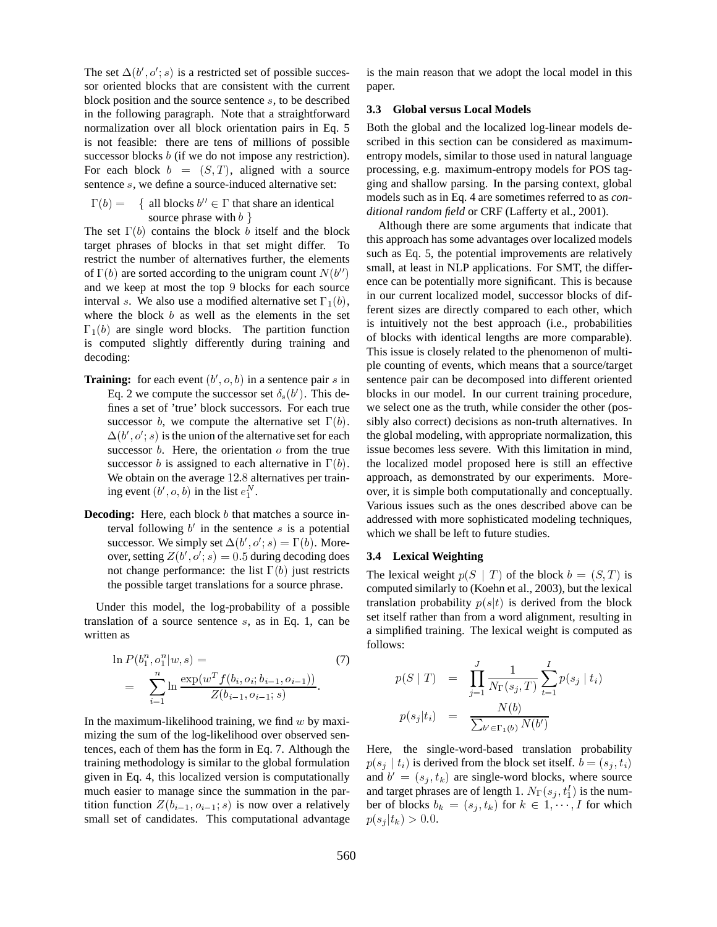The set  $\Delta(b', o'; s)$  is a restricted set of possible successor oriented blocks that are consistent with the current block position and the source sentence  $s$ , to be described in the following paragraph. Note that a straightforward normalization over all block orientation pairs in Eq. 5 is not feasible: there are tens of millions of possible successor blocks  $b$  (if we do not impose any restriction). For each block  $b = (S, T)$ , aligned with a source sentence  $s$ , we define a source-induced alternative set:

 $\Gamma(b) = \{$  all blocks  $b'' \in \Gamma$  that share an identical source phrase with  $b \}$ 

The set  $\Gamma(b)$  contains the block *b* itself and the block target phrases of blocks in that set might differ. To restrict the number of alternatives further, the elements of  $\Gamma(b)$  are sorted according to the unigram count  $N(b'')$  singlet at least and we keep at most the top  $9$  blocks for each source interval s. We also use a modified alternative set  $\Gamma_1(b)$ ,  $\Gamma_2$ where the block  $b$  as well as the elements in the set  $\Gamma_1(b)$  are single word blocks. The partition function is computed slightly differently during training and decoding:

- **Training:** for each event  $(b', o, b)$  in a sentence pair s in set Eq. 2 we compute the successor set  $\delta_s(b')$ . This defines a set of 'true' block successors. For each true successor *b*, we compute the alternative set  $\Gamma(b)$ . sibly a  $\Delta(b', o'; s)$  is the union of the alternative set for each successor  $b$ . Here, the orientation  $o$  from the true successor *b* is assigned to each alternative in  $\Gamma(b)$ . the lo We obtain on the average 12.8 alternatives per training event  $(b', o, b)$  in the list  $e_1^N$ .
- **Decoding:** Here, each block *b* that matches a source interval following  $b'$  in the sentence  $s$  is a potential successor. We simply set  $\Delta(b', o'; s) = \Gamma(b)$ . Moreover, setting  $Z(b', o'; s) = 0.5$  during decoding does not change performance: the list  $\Gamma(b)$  just restricts the possible target translations for a source phrase.

Under this model, the log-probability of a possible translation of a source sentence  $s$ , as in Eq. 1, can be written as

$$
\ln P(b_1^n, o_1^n | w, s) = \n\sum_{i=1}^n \ln \frac{\exp(w^T f(b_i, o_i; b_{i-1}, o_{i-1}))}{Z(b_{i-1}, o_{i-1}; s)}.
$$
\n(7)

In the maximum-likelihood training, we find  $w$  by maximizing the sum of the log-likelihood over observed sentences, each of them has the form in Eq. 7. Although the training methodology is similar to the global formulation given in Eq. 4, this localized version is computationally much easier to manage since the summation in the partition function  $Z(b_{i-1}, o_{i-1}; s)$  is now over a relatively small set of candidates. This computational advantage is the main reason that we adopt the local model in this paper.

#### **3.3 Global versus Local Models**

Both the global and the localized log-linear models described in this section can be considered as maximumentropy models, similar to those used in natural language processing, e.g. maximum-entropy models for POS tagging and shallow parsing. In the parsing context, global models such as in Eq. 4 are sometimes referred to as *conditional random field* or CRF (Lafferty et al., 2001).

Although there are some arguments that indicate that this approach has some advantages over localized models such as Eq. 5, the potential improvements are relatively small, at least in NLP applications. For SMT, the difference can be potentially more significant. This is because in our current localized model, successor blocks of different sizes are directly compared to each other, which is intuitively not the best approach (i.e., probabilities of blocks with identical lengths are more comparable). This issue is closely related to the phenomenon of multiple counting of events, which means that a source/target sentence pair can be decomposed into different oriented blocks in our model. In our current training procedure, we select one as the truth, while consider the other (possibly also correct) decisions as non-truth alternatives. In the global modeling, with appropriate normalization, this issue becomes less severe. With this limitation in mind, the localized model proposed here is still an effective approach, as demonstrated by our experiments. Moreover, it is simple both computationally and conceptually. Various issues such as the ones described above can be addressed with more sophisticated modeling techniques, which we shall be left to future studies.

#### **3.4 Lexical Weighting**

The lexical weight  $p(S \mid T)$  of the block  $b = (S, T)$  is computed similarly to (Koehn et al., 2003), but the lexical translation probability  $p(s|t)$  is derived from the block set itself rather than from a word alignment, resulting in a simplified training. The lexical weight is computed as follows:

$$
p(S | T) = \prod_{j=1}^{J} \frac{1}{N_{\Gamma}(s_j, T)} \sum_{t=1}^{I} p(s_j | t_i)
$$

$$
p(s_j | t_i) = \frac{N(b)}{\sum_{b' \in \Gamma_1(b)} N(b')}
$$

Here, the single-word-based translation probability  $p(s_j | t_i)$  is derived from the block set itself.  $b = (s_j, t_i)$ and  $b' = (s_i, t_k)$  are single-word blocks, where source and target phrases are of length 1.  $N_{\Gamma}(s_i, t_1^I)$  is the number of blocks  $b_k = (s_j, t_k)$  for  $k \in 1, \dots, I$  for which  $p(s_j|t_k) > 0.0.$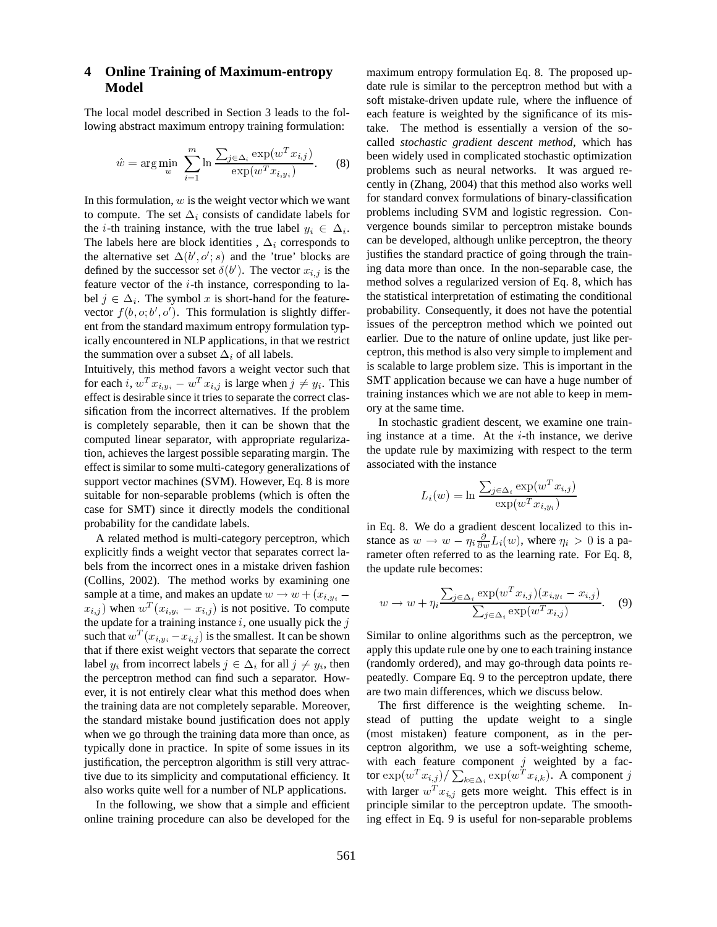#### **Online Training of Maximum-entropy** 4 Model

The local model described in Section 3 leads to the following abstract maximum entropy training formulation:

$$
\hat{w} = \arg\min_{w} \sum_{i=1}^{m} \ln \frac{\sum_{j \in \Delta_i} \exp(w^T x_{i,j})}{\exp(w^T x_{i,y_i})}.
$$
 (8)

In this formulation,  $w$  is the weight vector which we want to compute. The set  $\Delta_i$  consists of candidate labels for the *i*-th training instance, with the true label  $y_i \in \Delta_i$ . The labels here are block identities,  $\Delta_i$  corresponds to the alternative set  $\Delta(b', o'; s)$  and the 'true' blocks are defined by the successor set  $\delta(b')$ . The vector  $x_{i,j}$  is the feature vector of the *i*-th instance, corresponding to label  $j \in \Delta_i$ . The symbol x is short-hand for the featurevector  $f(b, o; b', o')$ . This formulation is slightly different from the standard maximum entropy formulation typically encountered in NLP applications, in that we restrict the summation over a subset  $\Delta_i$  of all labels.

Intuitively, this method favors a weight vector such that for each i,  $w^T x_{i,y_i} - w^T x_{i,j}$  is large when  $j \neq y_i$ . This effect is desirable since it tries to separate the correct classification from the incorrect alternatives. If the problem is completely separable, then it can be shown that the computed linear separator, with appropriate regularization, achieves the largest possible separating margin. The effect is similar to some multi-category generalizations of support vector machines (SVM). However, Eq. 8 is more suitable for non-separable problems (which is often the case for SMT) since it directly models the conditional probability for the candidate labels.

A related method is multi-category perceptron, which explicitly finds a weight vector that separates correct labels from the incorrect ones in a mistake driven fashion (Collins, 2002). The method works by examining one sample at a time, and makes an update  $w \rightarrow w + (x_{i,y_i}$  $x_{i,j}$  when  $w^T(x_{i,y_i} - x_{i,j})$  is not positive. To compute the update for a training instance  $i$ , one usually pick the  $j$ such that  $w^T(x_{i,y_i} - x_{i,j})$  is the smallest. It can be shown that if there exist weight vectors that separate the correct label  $y_i$  from incorrect labels  $j \in \Delta_i$  for all  $j \neq y_i$ , then the perceptron method can find such a separator. However, it is not entirely clear what this method does when the training data are not completely separable. Moreover, the standard mistake bound justification does not apply when we go through the training data more than once, as typically done in practice. In spite of some issues in its justification, the perceptron algorithm is still very attractive due to its simplicity and computational efficiency. It also works quite well for a number of NLP applications.

In the following, we show that a simple and efficient online training procedure can also be developed for the

maximum entropy formulation Eq. 8. The proposed update rule is similar to the perceptron method but with a soft mistake-driven update rule, where the influence of each feature is weighted by the significance of its mistake. The method is essentially a version of the socalled stochastic gradient descent method, which has been widely used in complicated stochastic optimization problems such as neural networks. It was argued recently in (Zhang, 2004) that this method also works well for standard convex formulations of binary-classification problems including SVM and logistic regression. Convergence bounds similar to perceptron mistake bounds can be developed, although unlike perceptron, the theory justifies the standard practice of going through the training data more than once. In the non-separable case, the method solves a regularized version of Eq. 8, which has the statistical interpretation of estimating the conditional probability. Consequently, it does not have the potential issues of the perceptron method which we pointed out earlier. Due to the nature of online update, just like perceptron, this method is also very simple to implement and is scalable to large problem size. This is important in the SMT application because we can have a huge number of training instances which we are not able to keep in memory at the same time.

In stochastic gradient descent, we examine one training instance at a time. At the  $i$ -th instance, we derive the update rule by maximizing with respect to the term associated with the instance

$$
L_i(w) = \ln \frac{\sum_{j \in \Delta_i} \exp(w^T x_{i,j})}{\exp(w^T x_{i,y_i})}
$$

in Eq. 8. We do a gradient descent localized to this instance as  $w \to w - \eta_i \frac{\partial}{\partial w} L_i(w)$ , where  $\eta_i > 0$  is a parameter often referred to as the learning rate. For Eq. 8, the update rule becomes:

$$
w \to w + \eta_i \frac{\sum_{j \in \Delta_i} \exp(w^T x_{i,j})(x_{i,y_i} - x_{i,j})}{\sum_{j \in \Delta_i} \exp(w^T x_{i,j})}.
$$
 (9)

Similar to online algorithms such as the perceptron, we apply this update rule one by one to each training instance (randomly ordered), and may go-through data points repeatedly. Compare Eq. 9 to the perceptron update, there are two main differences, which we discuss below.

The first difference is the weighting scheme.  $In$ stead of putting the update weight to a single (most mistaken) feature component, as in the perceptron algorithm, we use a soft-weighting scheme, with each feature component  $j$  weighted by a factor  $\exp(w^T x_{i,j}) / \sum_{k \in \Delta_i} \exp(w^T x_{i,k})$  . A component  $j$ with larger  $w^T x_{i,j}$  gets more weight. This effect is in principle similar to the perceptron update. The smoothing effect in Eq. 9 is useful for non-separable problems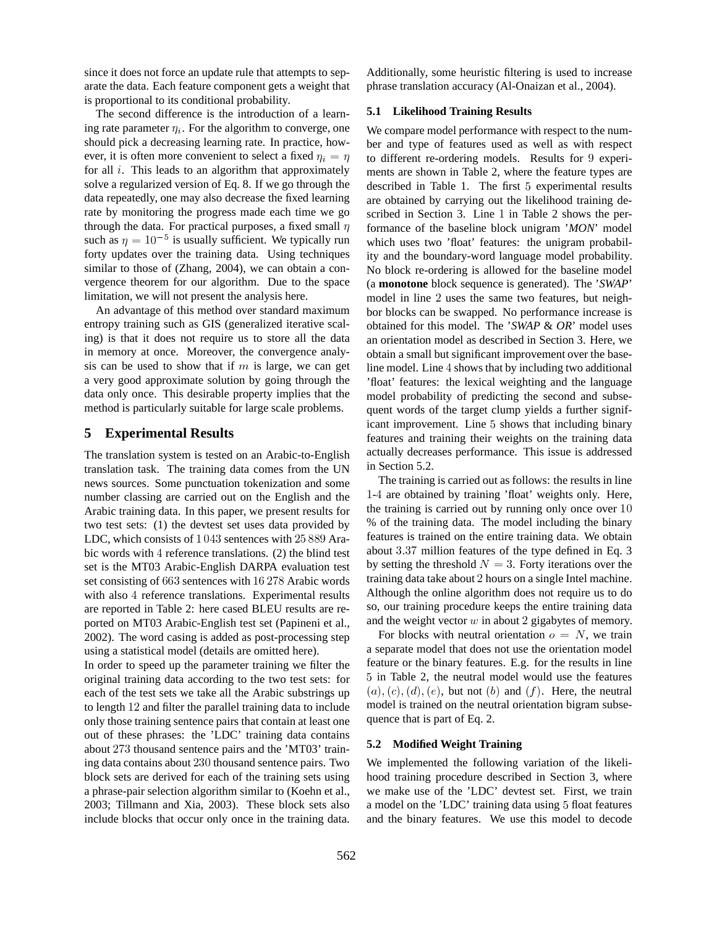since it does not force an update rule that attempts to separate the data. Each feature component gets a weight that is proportional to its conditional probability.

The second difference is the introduction of a learning rate parameter  $\eta_i$ . For the algorithm to converge, one should pick a decreasing learning rate. In practice, however, it is often more convenient to select a fixed  $\eta_i = \eta$ for all  $i$ . This leads to an algorithm that approximately solve a regularized version of Eq. 8. If we go through the data repeatedly, one may also decrease the fixed learning rate by monitoring the progress made each time we go through the data. For practical purposes, a fixed small  $\eta$ such as  $\eta = 10^{-5}$  is usuall  $0^{-5}$  is usually sufficient. We typically run forty updates over the training data. Using techniques similar to those of (Zhang, 2004), we can obtain a convergence theorem for our algorithm. Due to the space limitation, we will not present the analysis here.

An advantage of this method over standard maximum entropy training such as GIS (generalized iterative scaling) is that it does not require us to store all the data in memory at once. Moreover, the convergence analysis can be used to show that if  $m$  is large, we can get a very good approximate solution by going through the data only once. This desirable property implies that the method is particularly suitable for large scale problems.

### **5 Experimental Results**

The translation system is tested on an Arabic-to-English translation task. The training data comes from the UN news sources. Some punctuation tokenization and some number classing are carried out on the English and the Arabic training data. In this paper, we present results for two test sets: (1) the devtest set uses data provided by LDC, which consists of  $1043$  sentences with  $25889$  Arabic words with 4 reference translations. (2) the blind test set is the MT03 Arabic-English DARPA evaluation test set consisting of 663 sentences with 16 278 Arabic words with also 4 reference translations. Experimental results are reported in Table 2: here cased BLEU results are reported on MT03 Arabic-English test set (Papineni et al., 2002). The word casing is added as post-processing step using a statistical model (details are omitted here).

In order to speed up the parameter training we filter the original training data according to the two test sets: for each of the test sets we take all the Arabic substrings up to length 12 and filter the parallel training data to include only those training sentence pairs that contain at least one out of these phrases: the 'LDC' training data contains about 273 thousand sentence pairs and the 'MT03' training data contains about 230 thousand sentence pairs. Two block sets are derived for each of the training sets using a phrase-pair selection algorithm similar to (Koehn et al., 2003; Tillmann and Xia, 2003). These block sets also include blocks that occur only once in the training data. Additionally, some heuristic filtering is used to increase phrase translation accuracy (Al-Onaizan et al., 2004).

#### **5.1 Likelihood Training Results**

 $\eta$  to different re-ordering models. Results for 9 experi-We compare model performance with respect to the number and type of features used as well as with respect ments are shown in Table 2, where the feature types are described in Table 1. The first 5 experimental results are obtained by carrying out the likelihood training described in Section 3. Line  $1$  in Table  $2$  shows the performance of the baseline block unigram '*MON*' model which uses two 'float' features: the unigram probability and the boundary-word language model probability. No block re-ordering is allowed for the baseline model (a **monotone** block sequence is generated). The '*SWAP*' model in line 2 uses the same two features, but neighbor blocks can be swapped. No performance increase is obtained for this model. The '*SWAP* & *OR*' model uses an orientation model as described in Section 3. Here, we obtain a small but significant improvement over the baseline model. Line 4 shows that by including two additional 'float' features: the lexical weighting and the language model probability of predicting the second and subsequent words of the target clump yields a further significant improvement. Line 5 shows that including binary features and training their weights on the training data actually decreases performance. This issue is addressed in Section 5.2.

The training is carried out as follows: the results in line 1-4 are obtained by training 'float' weights only. Here, the training is carried out by running only once over  $10$ % of the training data. The model including the binary features is trained on the entire training data. We obtain about 3.37 million features of the type defined in Eq. 3 by setting the threshold  $N=3$ . Forty iterations over the training data take about 2 hours on a single Intel machine. Although the online algorithm does not require us to do so, our training procedure keeps the entire training data and the weight vector  $w$  in about 2 gigabytes of memory.

For blocks with neutral orientation  $o = N$ , we train a separate model that does not use the orientation model feature or the binary features. E.g. for the results in line in Table 2, the neutral model would use the features  $(u), (c), (d), (e)$ , but not  $(b)$  and  $(f)$ . Here, the neutral model is trained on the neutral orientation bigram subsequence that is part of Eq. 2.

#### **5.2 Modified Weight Training**

We implemented the following variation of the likelihood training procedure described in Section 3, where we make use of the 'LDC' devtest set. First, we train a model on the 'LDC' training data using 5 float features and the binary features. We use this model to decode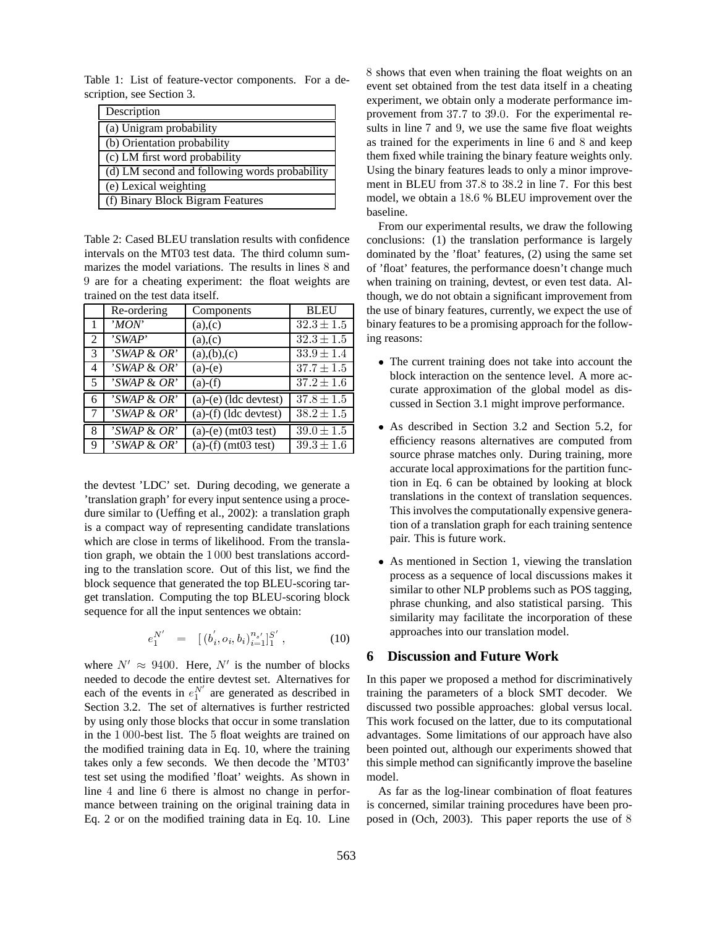Table 1: List of feature-vector components. For a description, see Section 3.

| Description                                   |
|-----------------------------------------------|
| (a) Unigram probability                       |
| (b) Orientation probability                   |
| (c) LM first word probability                 |
| (d) LM second and following words probability |
| (e) Lexical weighting                         |
| (f) Binary Block Bigram Features              |

Table 2: Cased BLEU translation results with confidence intervals on the MT03 test data. The third column summarizes the model variations. The results in lines  $8$  and <sup>Ê</sup> are for a cheating experiment: the float weights are trained on the test data itself.

|                | Re-ordering                    | Components                               | <b>BLEU</b>    | the use           |
|----------------|--------------------------------|------------------------------------------|----------------|-------------------|
|                | $\overline{MON}$               | (a),(c)                                  | $32.3 \pm 1.5$ | binary            |
| 2              | 'SWAP'                         | (a),(c)                                  | $32.3 \pm 1.5$ | ing rea           |
| $\overline{3}$ | 'SWAP & OR'                    | $\overline{(a),(b),(c)}$                 | $33.9 \pm 1.4$ | $\bullet$ T       |
| $\overline{4}$ | 'SWAP & OR'                    | $(a)-(e)$                                | $37.7 \pm 1.5$ | bl                |
| 5              | $\sqrt{SWAP}$ & OR'            | $(a)-(f)$                                | $37.2 \pm 1.6$ | $c_{l}$           |
| 6              | 'SWAP & OR'                    | $(a)-(e)$ (ldc devtest)                  | $37.8 \pm 1.5$ | c <sub>l</sub>    |
| 7              | 'SWAP & OR'                    | $(a)$ - $(f)$ (ldc devtest)              | $38.2 \pm 1.5$ |                   |
| 8              | 'SWAP & OR'                    | (a)-(e) (mt03 $\overline{\text{test}}$ ) | $39.0 \pm 1.5$ | $\mathbf{A}$      |
| -9             | $\overline{\text{SWAP}}$ & OR' | (a)-(f) (mt03 test)                      | $39.3 \pm 1.6$ | ef<br>$_{\rm cr}$ |

the devtest 'LDC' set. During decoding, we generate a 'translation graph' for every input sentence using a procedure similar to (Ueffing et al., 2002): a translation graph is a compact way of representing candidate translations which are close in terms of likelihood. From the translation graph, we obtain the  $1000$  best translations according to the translation score. Out of this list, we find the block sequence that generated the top BLEU-scoring target translation. Computing the top BLEU-scoring block sequence for all the input sentences we obtain:

$$
e_1^{N'} = [ (b_i', o_i, b_i)_{i=1}^{n_{s'}}]_1^{S'}, \qquad (10)
$$

where  $N' \approx 9400$ . Here, N' is the number of blocks needed to decode the entire devtest set. Alternatives for each of the events in  $e_1^N$  are generated as described in Section 3.2. The set of alternatives is further restricted by using only those blocks that occur in some translation in the 1000-best list. The 5 float weights are trained on the modified training data in Eq. 10, where the training takes only a few seconds. We then decode the 'MT03' test set using the modified 'float' weights. As shown in line  $4$  and line  $6$  there is almost no change in performance between training on the original training data in Eq. 2 or on the modified training data in Eq. 10. Line  shows that even when training the float weights on an event set obtained from the test data itself in a cheating experiment, we obtain only a moderate performance improvement from  $37.7$  to  $39.0$ . For the experimental results in line 7 and 9, we use the same five float weights as trained for the experiments in line  $6$  and  $8$  and keep them fixed while training the binary feature weights only. Using the binary features leads to only a minor improvement in BLEU from  $37.8$  to  $38.2$  in line 7. For this best model, we obtain a 18.6 % BLEU improvement over the baseline.

 $\overline{1.5}$  binary features to be a promising approach for the follow- $\overline{1.5}$  ing reasons: From our experimental results, we draw the following conclusions: (1) the translation performance is largely dominated by the 'float' features, (2) using the same set of 'float' features, the performance doesn't change much when training on training, devtest, or even test data. Although, we do not obtain a significant improvement from the use of binary features, currently, we expect the use of

- $\frac{11}{1.5}$  The current training does not take into account the  $\frac{1.6}{\sqrt{1.6}}$  curate approximation of the global model as disblock interaction on the sentence level. A more accussed in Section 3.1 might improve performance.
- As described in Section 3.2 and Section 5.2, for efficiency reasons alternatives are computed from source phrase matches only. During training, more accurate local approximations for the partition function in Eq. 6 can be obtained by looking at block translations in the context of translation sequences. This involves the computationally expensive generation of a translation graph for each training sentence pair. This is future work.
	- <sup>ò</sup> As mentioned in Section 1, viewing the translation process as a sequence of local discussions makes it similar to other NLP problems such as POS tagging, phrase chunking, and also statistical parsing. This similarity may facilitate the incorporation of these approaches into our translation model.

## **6 Discussion and Future Work**

In this paper we proposed a method for discriminatively training the parameters of a block SMT decoder. We discussed two possible approaches: global versus local. This work focused on the latter, due to its computational advantages. Some limitations of our approach have also been pointed out, although our experiments showed that this simple method can significantly improve the baseline model.

As far as the log-linear combination of float features is concerned, similar training procedures have been proposed in (Och, 2003). This paper reports the use of